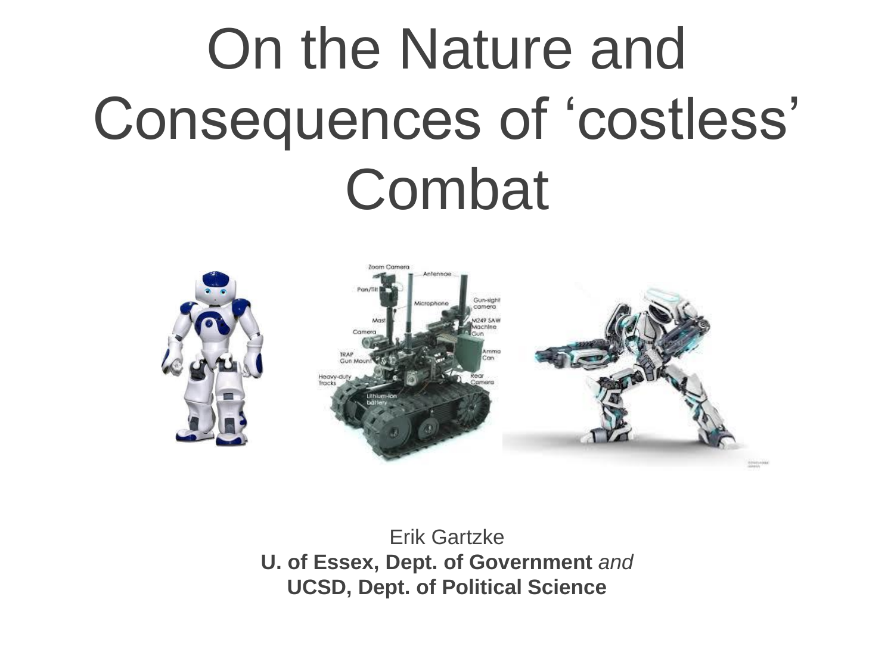# On the Nature and Consequences of 'costless' Combat



Erik Gartzke **U. of Essex, Dept. of Government** *and* **UCSD, Dept. of Political Science**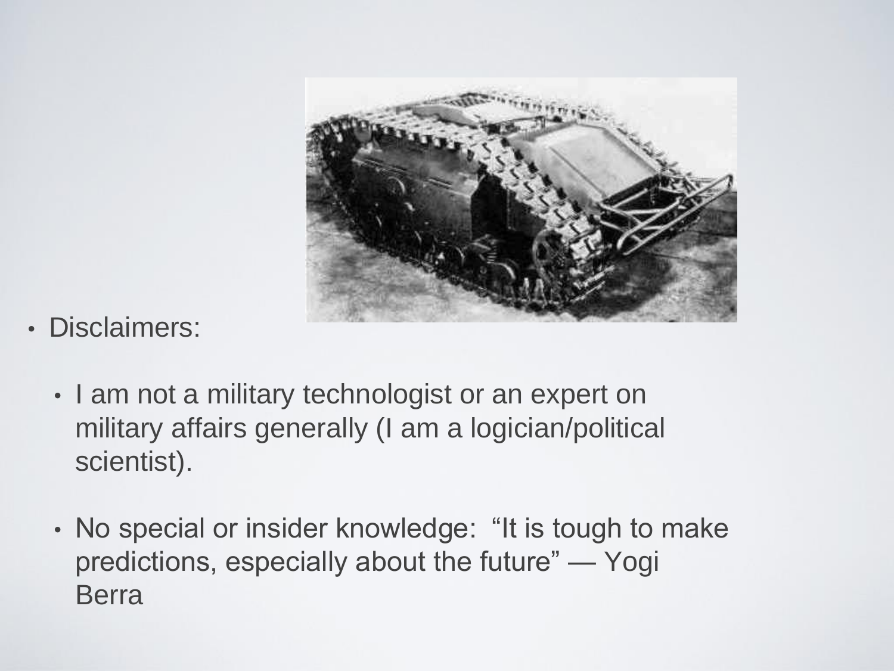

- Disclaimers:
	- I am not a military technologist or an expert on military affairs generally (I am a logician/political scientist).
	- No special or insider knowledge: "It is tough to make predictions, especially about the future" — Yogi Berra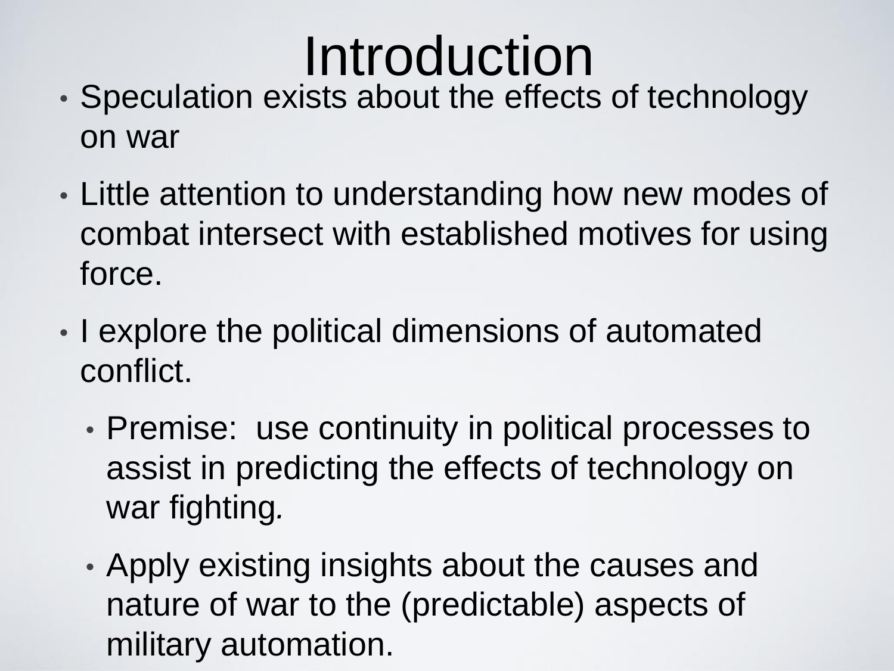#### Introduction

- Speculation exists about the effects of technology on war
- Little attention to understanding how new modes of combat intersect with established motives for using force.
- I explore the political dimensions of automated conflict.
	- Premise: use continuity in political processes to assist in predicting the effects of technology on war fighting*.*
	- Apply existing insights about the causes and nature of war to the (predictable) aspects of military automation.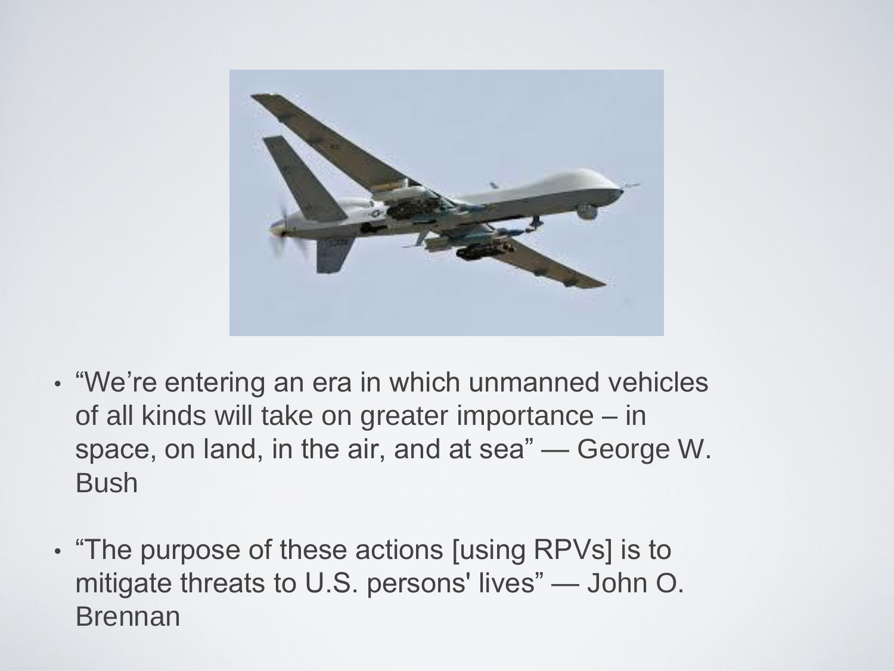

- "We're entering an era in which unmanned vehicles of all kinds will take on greater importance – in space, on land, in the air, and at sea" — George W. **Bush**
- "The purpose of these actions [using RPVs] is to mitigate threats to U.S. persons' lives" — John O. Brennan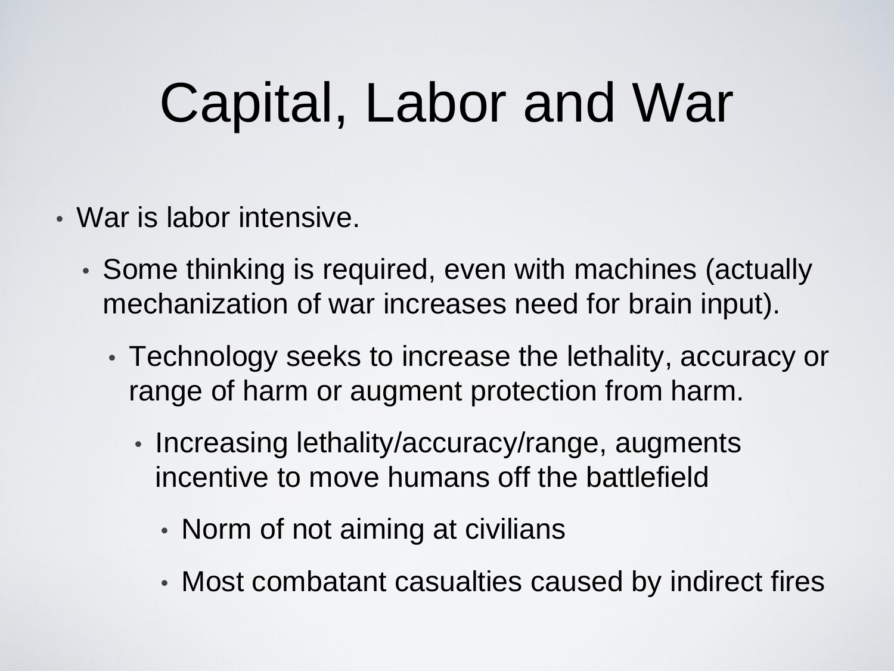#### Capital, Labor and War

- War is labor intensive.
	- Some thinking is required, even with machines (actually mechanization of war increases need for brain input).
		- Technology seeks to increase the lethality, accuracy or range of harm or augment protection from harm.
			- Increasing lethality/accuracy/range, augments incentive to move humans off the battlefield
				- Norm of not aiming at civilians
				- Most combatant casualties caused by indirect fires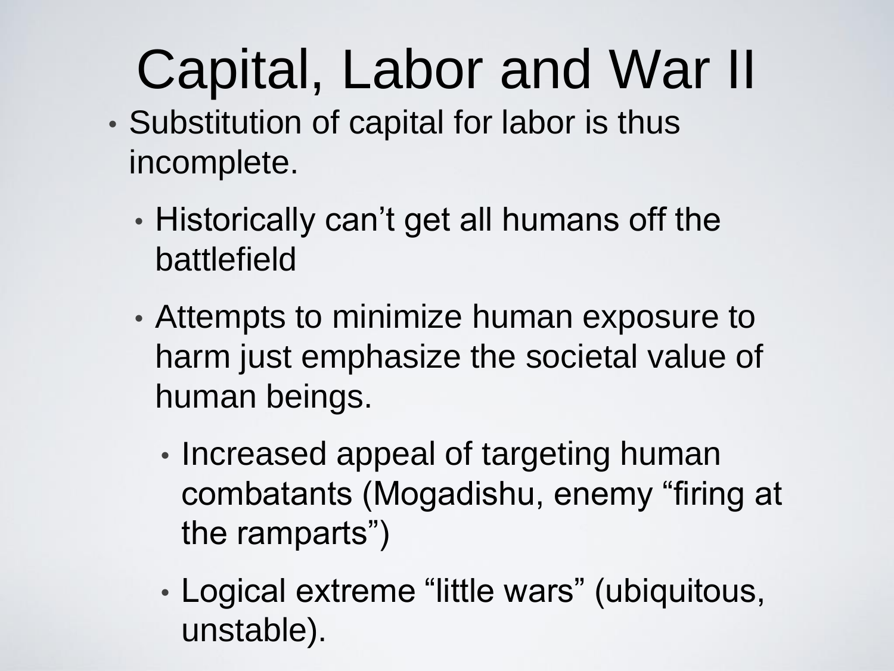## Capital, Labor and War II

- Substitution of capital for labor is thus incomplete.
	- Historically can't get all humans off the battlefield
	- Attempts to minimize human exposure to harm just emphasize the societal value of human beings.
		- Increased appeal of targeting human combatants (Mogadishu, enemy "firing at the ramparts")
		- Logical extreme "little wars" (ubiquitous, unstable).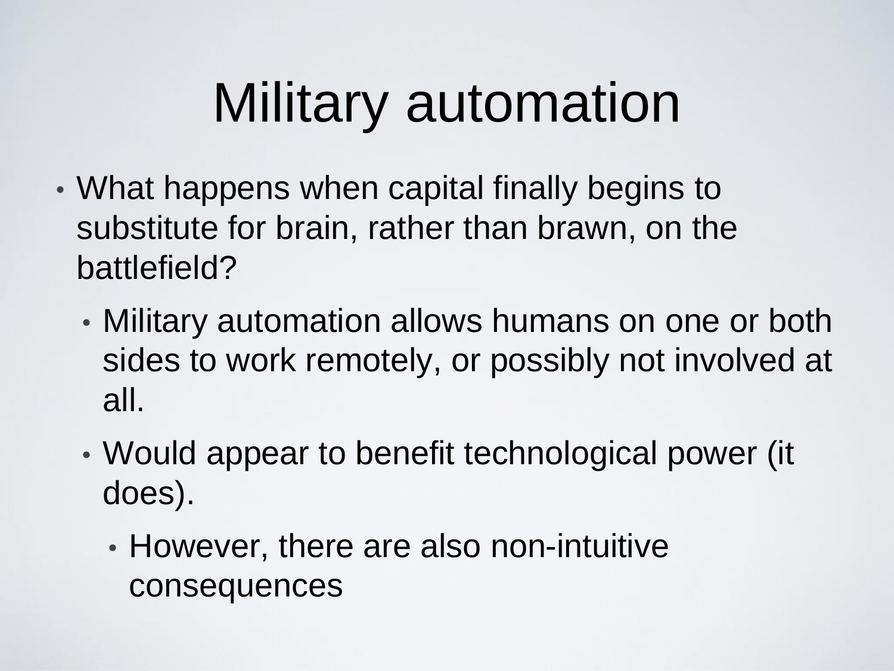## Military automation

- What happens when capital finally begins to substitute for brain, rather than brawn, on the battlefield?
	- Military automation allows humans on one or both sides to work remotely, or possibly not involved at all.
	- Would appear to benefit technological power (it does).
		- However, there are also non-intuitive consequences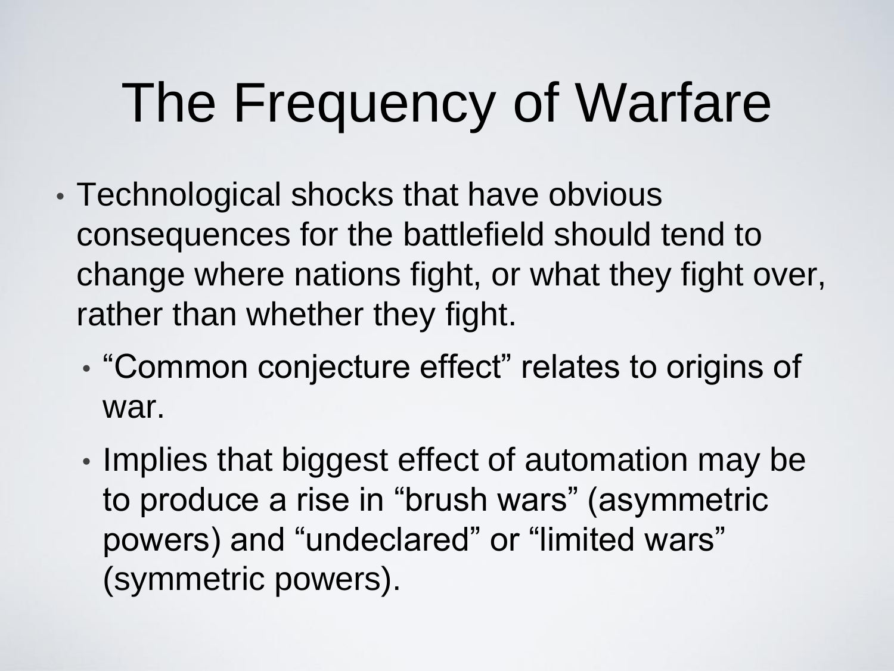## The Frequency of Warfare

- Technological shocks that have obvious consequences for the battlefield should tend to change where nations fight, or what they fight over, rather than whether they fight.
	- "Common conjecture effect" relates to origins of war.
	- Implies that biggest effect of automation may be to produce a rise in "brush wars" (asymmetric powers) and "undeclared" or "limited wars" (symmetric powers).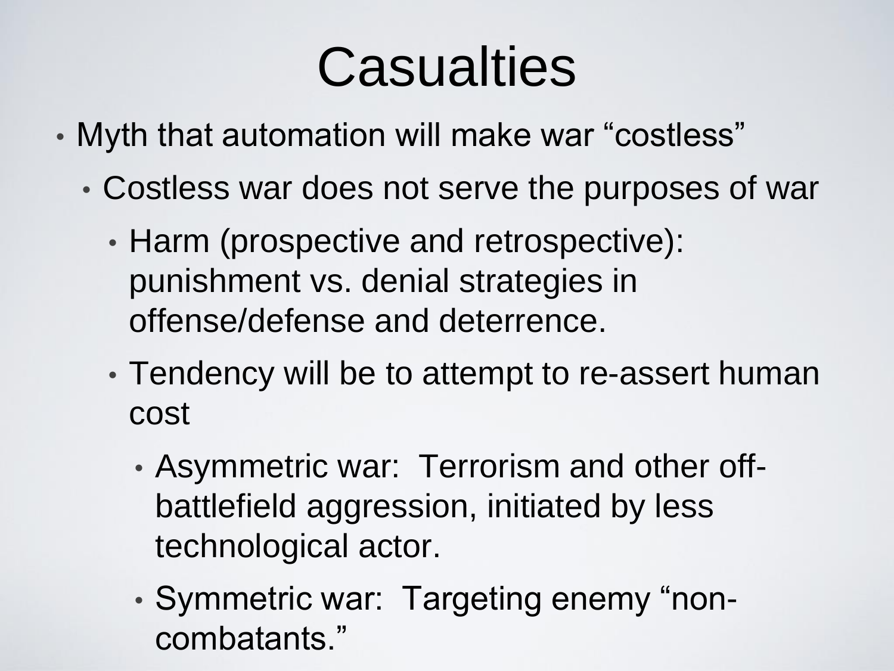#### Casualties

- Myth that automation will make war "costless"
	- Costless war does not serve the purposes of war
		- Harm (prospective and retrospective): punishment vs. denial strategies in offense/defense and deterrence.
		- Tendency will be to attempt to re-assert human cost
			- Asymmetric war: Terrorism and other offbattlefield aggression, initiated by less technological actor.
			- Symmetric war: Targeting enemy "noncombatants."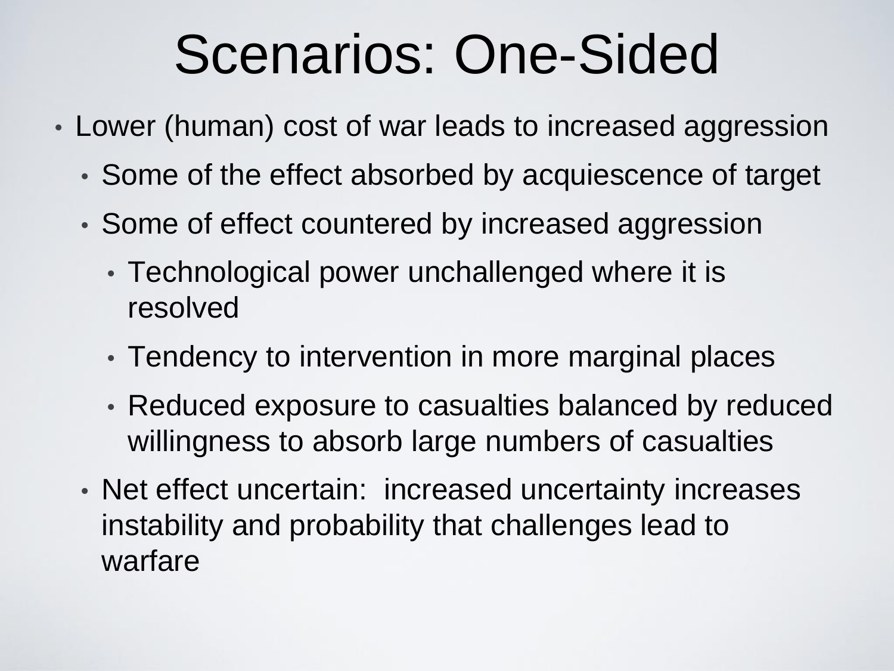#### Scenarios: One-Sided

- Lower (human) cost of war leads to increased aggression
	- Some of the effect absorbed by acquiescence of target
	- Some of effect countered by increased aggression
		- Technological power unchallenged where it is resolved
		- Tendency to intervention in more marginal places
		- Reduced exposure to casualties balanced by reduced willingness to absorb large numbers of casualties
	- Net effect uncertain: increased uncertainty increases instability and probability that challenges lead to warfare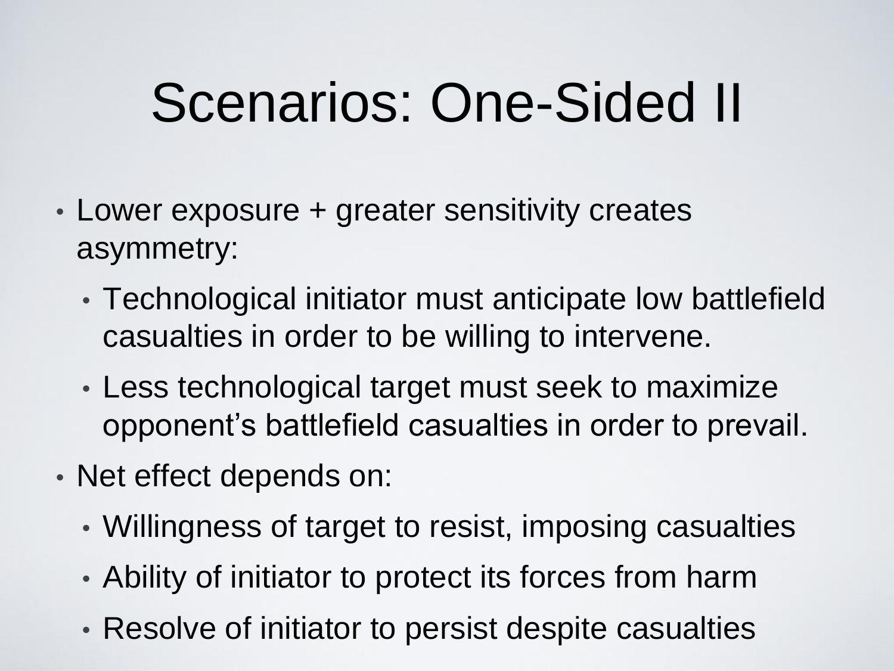## Scenarios: One-Sided II

- Lower exposure + greater sensitivity creates asymmetry:
	- Technological initiator must anticipate low battlefield casualties in order to be willing to intervene.
	- Less technological target must seek to maximize opponent's battlefield casualties in order to prevail.
- Net effect depends on:
	- Willingness of target to resist, imposing casualties
	- Ability of initiator to protect its forces from harm
	- Resolve of initiator to persist despite casualties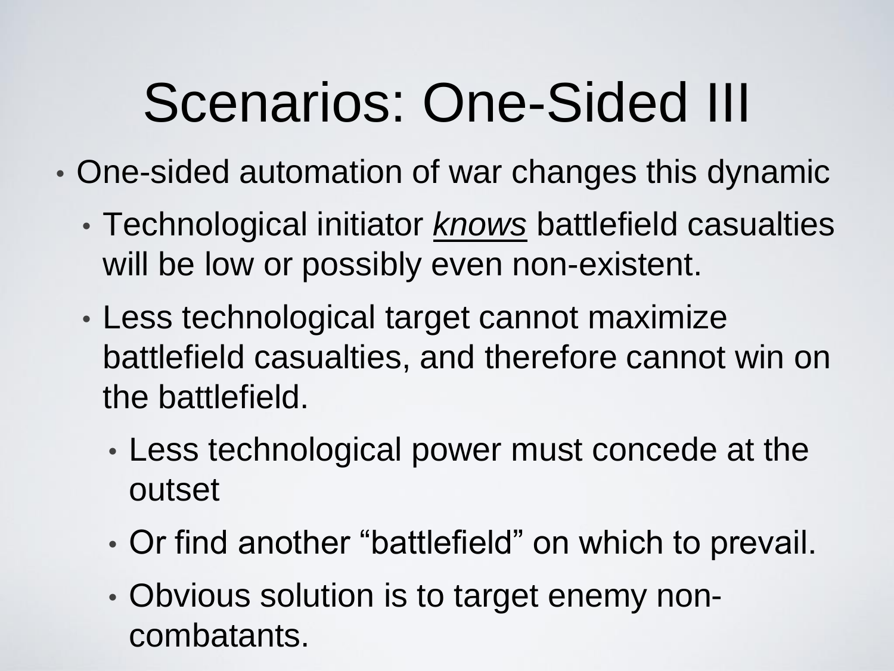## Scenarios: One-Sided III

- One-sided automation of war changes this dynamic
	- Technological initiator *knows* battlefield casualties will be low or possibly even non-existent.
	- Less technological target cannot maximize battlefield casualties, and therefore cannot win on the battlefield.
		- Less technological power must concede at the outset
		- Or find another "battlefield" on which to prevail.
		- Obvious solution is to target enemy noncombatants.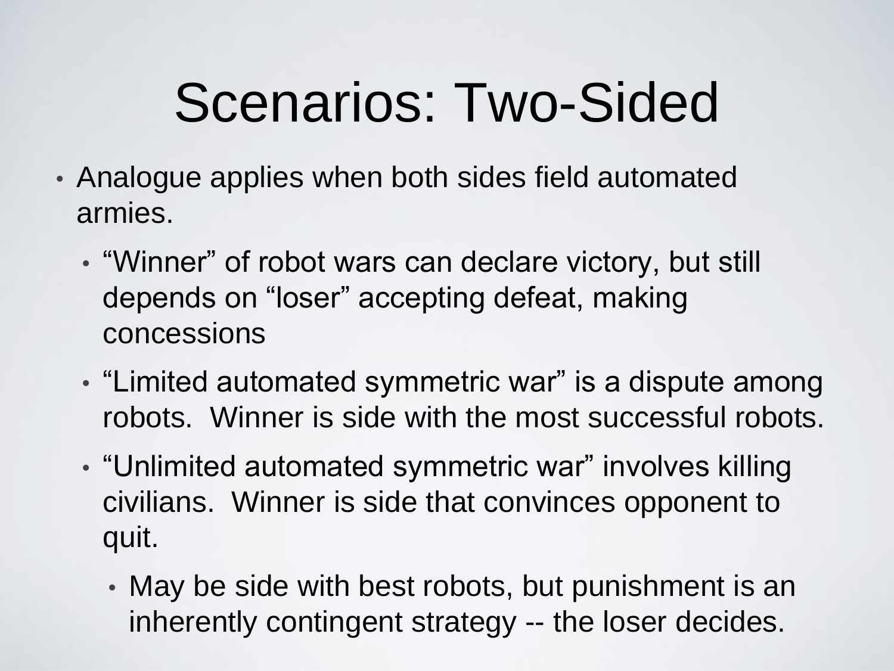## Scenarios: Two-Sided

- Analogue applies when both sides field automated armies.
	- "Winner" of robot wars can declare victory, but still depends on "loser" accepting defeat, making concessions
	- "Limited automated symmetric war" is a dispute among robots. Winner is side with the most successful robots.
	- "Unlimited automated symmetric war" involves killing civilians. Winner is side that convinces opponent to quit.
		- May be side with best robots, but punishment is an inherently contingent strategy -- the loser decides.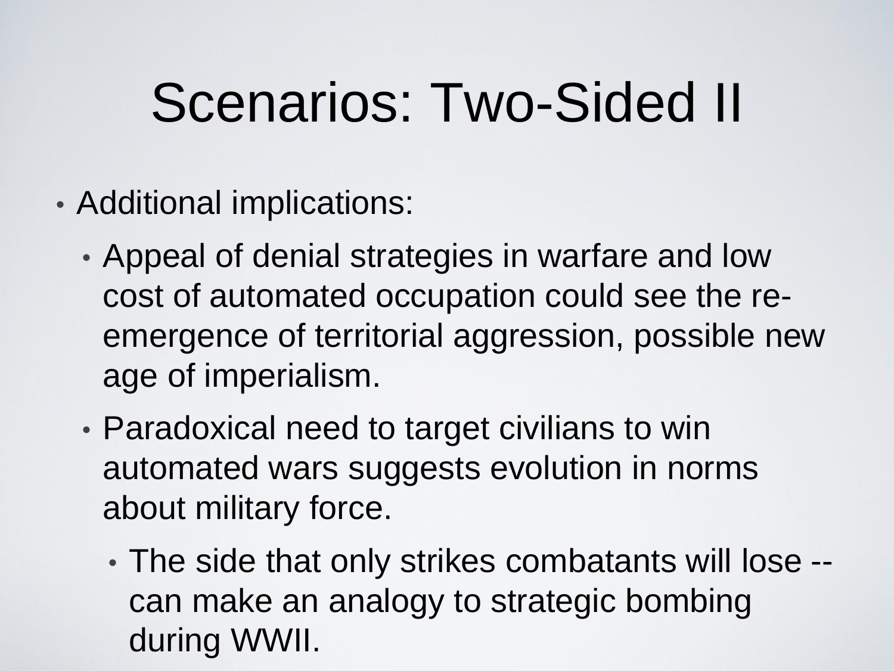## Scenarios: Two-Sided II

- Additional implications:
	- Appeal of denial strategies in warfare and low cost of automated occupation could see the reemergence of territorial aggression, possible new age of imperialism.
	- Paradoxical need to target civilians to win automated wars suggests evolution in norms about military force.
		- The side that only strikes combatants will lose can make an analogy to strategic bombing during WWII.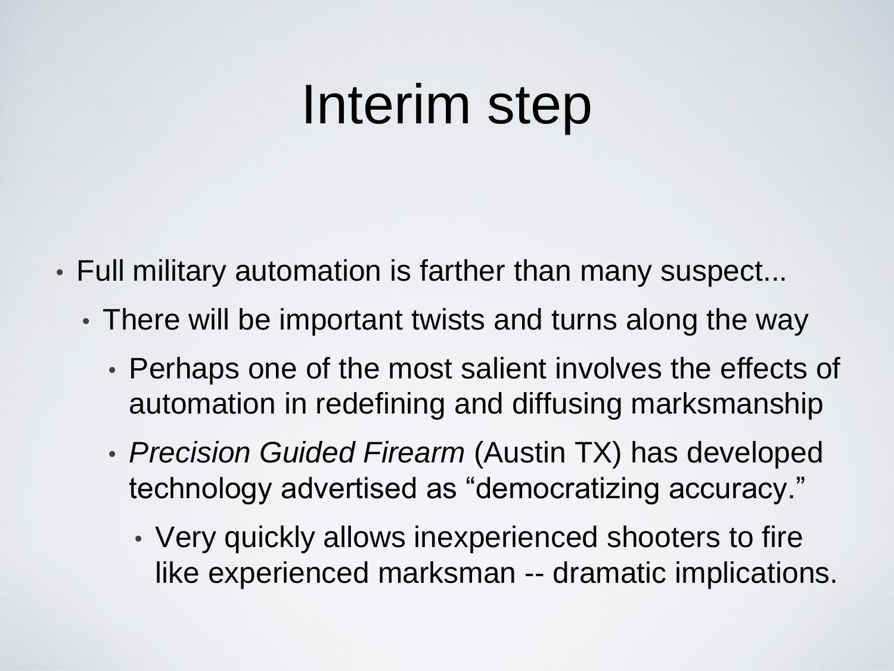#### Interim step

- Full military automation is farther than many suspect...
	- There will be important twists and turns along the way
		- Perhaps one of the most salient involves the effects of automation in redefining and diffusing marksmanship
		- *Precision Guided Firearm* (Austin TX) has developed technology advertised as "democratizing accuracy."
			- Very quickly allows inexperienced shooters to fire like experienced marksman -- dramatic implications.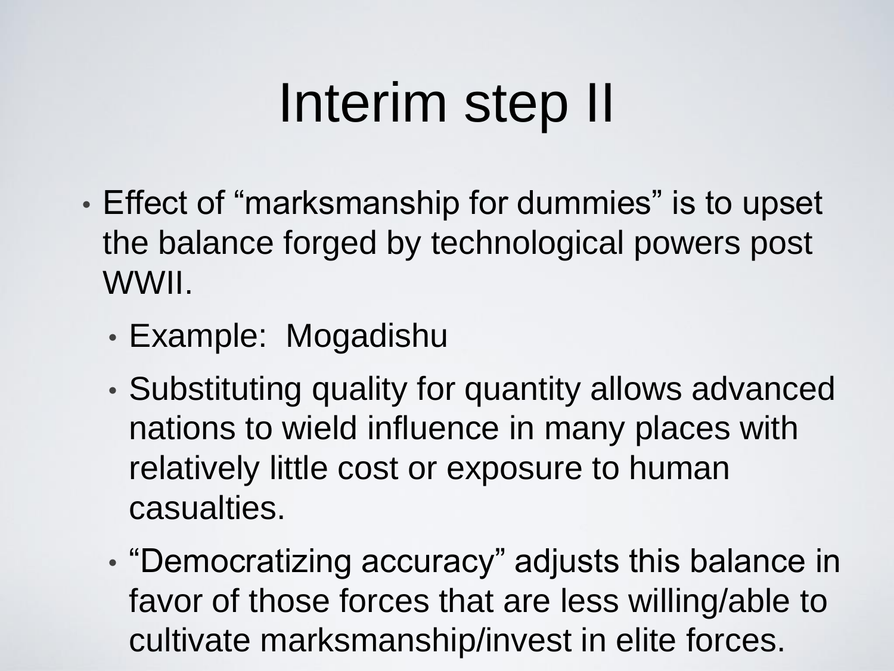#### Interim step II

- Effect of "marksmanship for dummies" is to upset the balance forged by technological powers post WWII.
	- Example: Mogadishu
	- Substituting quality for quantity allows advanced nations to wield influence in many places with relatively little cost or exposure to human casualties.
	- "Democratizing accuracy" adjusts this balance in favor of those forces that are less willing/able to cultivate marksmanship/invest in elite forces.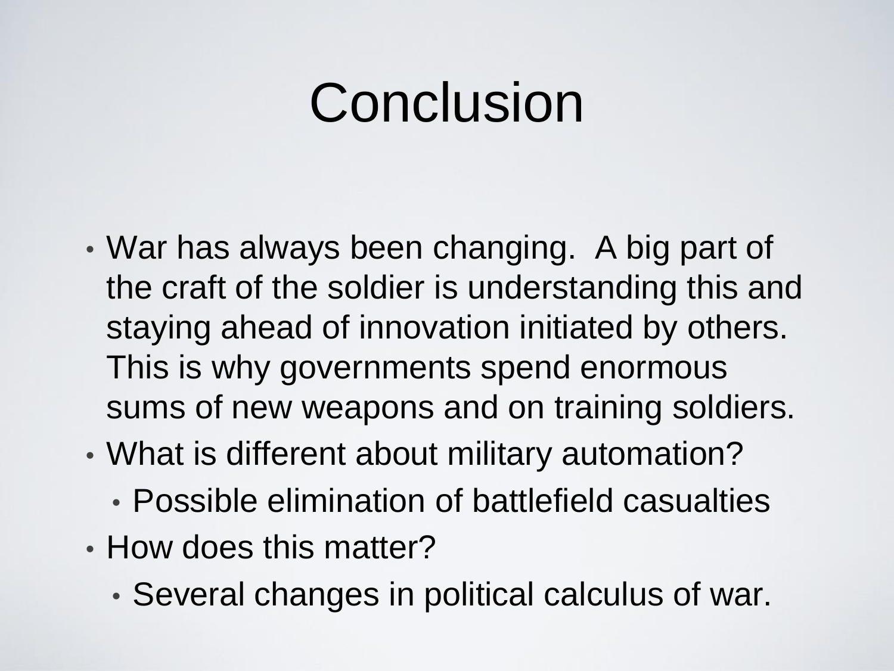#### Conclusion

- War has always been changing. A big part of the craft of the soldier is understanding this and staying ahead of innovation initiated by others. This is why governments spend enormous sums of new weapons and on training soldiers.
- What is different about military automation?
	- Possible elimination of battlefield casualties
- How does this matter?
	- Several changes in political calculus of war.